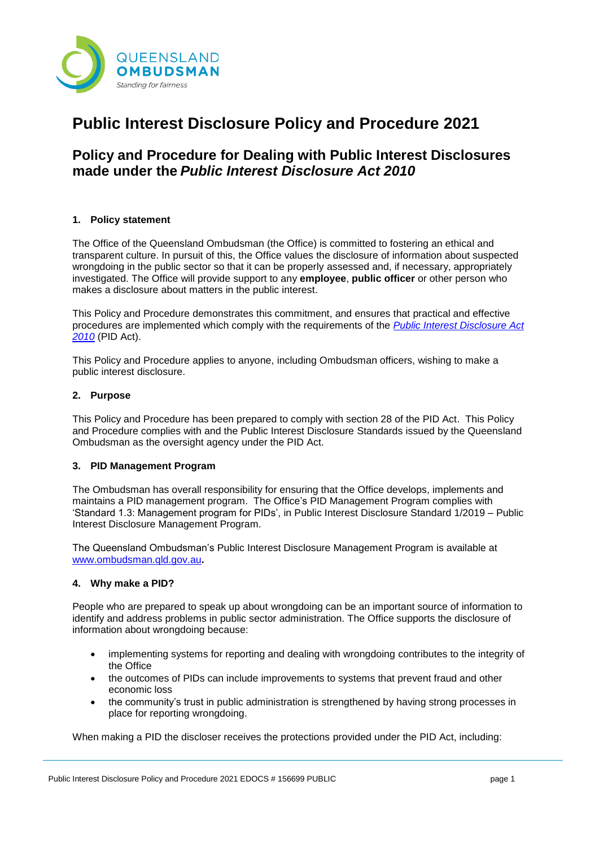

# **Public Interest Disclosure Policy and Procedure 2021**

## **Policy and Procedure for Dealing with Public Interest Disclosures made under the** *Public Interest Disclosure Act 2010*

## **1. Policy statement**

The Office of the Queensland Ombudsman (the Office) is committed to fostering an ethical and transparent culture. In pursuit of this, the Office values the disclosure of information about suspected wrongdoing in the public sector so that it can be properly assessed and, if necessary, appropriately investigated. The Office will provide support to any **employee**, **public officer** or other person who makes a disclosure about matters in the public interest.

This Policy and Procedure demonstrates this commitment, and ensures that practical and effective procedures are implemented which comply with the requirements of the *[Public Interest Disclosure Act](https://www.legislation.qld.gov.au/view/html/inforce/current/act-2010-038)  [2010](https://www.legislation.qld.gov.au/view/html/inforce/current/act-2010-038)* (PID Act).

This Policy and Procedure applies to anyone, including Ombudsman officers, wishing to make a public interest disclosure.

## **2. Purpose**

This Policy and Procedure has been prepared to comply with section 28 of the PID Act. This Policy and Procedure complies with and the Public Interest Disclosure Standards issued by the Queensland Ombudsman as the oversight agency under the PID Act.

#### **3. PID Management Program**

The Ombudsman has overall responsibility for ensuring that the Office develops, implements and maintains a PID management program. The Office's PID Management Program complies with 'Standard 1.3: Management program for PIDs', in Public Interest Disclosure Standard 1/2019 – Public Interest Disclosure Management Program.

The Queensland Ombudsman's Public Interest Disclosure Management Program is available at [www.ombudsman.qld.gov.au](http://www.ombudsman.qld.gov.au/)**.** 

#### **4. Why make a PID?**

People who are prepared to speak up about wrongdoing can be an important source of information to identify and address problems in public sector administration. The Office supports the disclosure of information about wrongdoing because:

- implementing systems for reporting and dealing with wrongdoing contributes to the integrity of the Office
- the outcomes of PIDs can include improvements to systems that prevent fraud and other economic loss
- the community's trust in public administration is strengthened by having strong processes in place for reporting wrongdoing.

When making a PID the discloser receives the protections provided under the PID Act, including: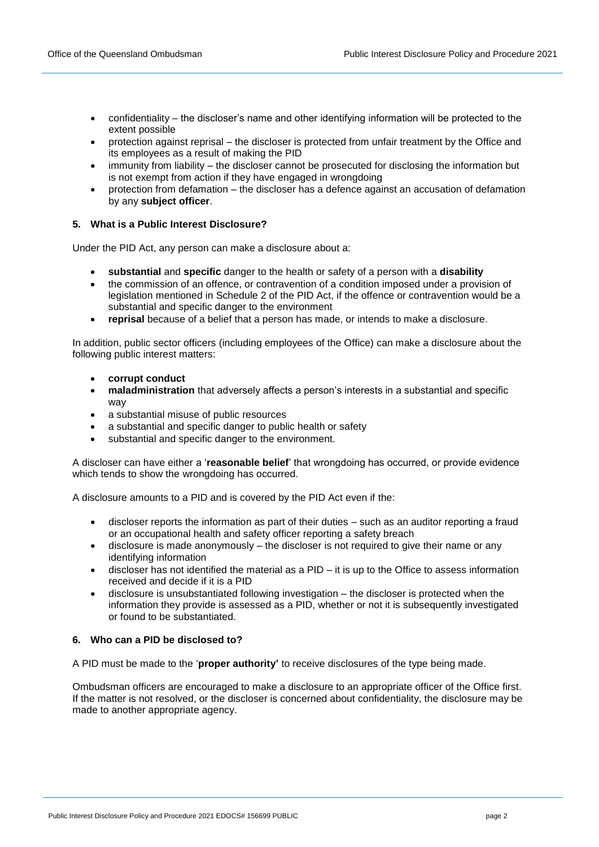- confidentiality the discloser's name and other identifying information will be protected to the extent possible
- protection against reprisal the discloser is protected from unfair treatment by the Office and its employees as a result of making the PID
- immunity from liability the discloser cannot be prosecuted for disclosing the information but is not exempt from action if they have engaged in wrongdoing
- protection from defamation the discloser has a defence against an accusation of defamation by any **subject officer**.

## **5. What is a Public Interest Disclosure?**

Under the PID Act, any person can make a disclosure about a:

- **substantial** and **specific** danger to the health or safety of a person with a **disability**
- the commission of an offence, or contravention of a condition imposed under a provision of legislation mentioned in Schedule 2 of the PID Act, if the offence or contravention would be a substantial and specific danger to the environment
- **reprisal** because of a belief that a person has made, or intends to make a disclosure.

In addition, public sector officers (including employees of the Office) can make a disclosure about the following public interest matters:

- **corrupt conduct**
- **maladministration** that adversely affects a person's interests in a substantial and specific way
- a substantial misuse of public resources
- a substantial and specific danger to public health or safety
- substantial and specific danger to the environment.

A discloser can have either a '**reasonable belief**' that wrongdoing has occurred, or provide evidence which tends to show the wrongdoing has occurred.

A disclosure amounts to a PID and is covered by the PID Act even if the:

- discloser reports the information as part of their duties such as an auditor reporting a fraud or an occupational health and safety officer reporting a safety breach
- disclosure is made anonymously the discloser is not required to give their name or any identifying information
- discloser has not identified the material as a  $PID it$  is up to the Office to assess information received and decide if it is a PID
- disclosure is unsubstantiated following investigation the discloser is protected when the information they provide is assessed as a PID, whether or not it is subsequently investigated or found to be substantiated.

## **6. Who can a PID be disclosed to?**

A PID must be made to the '**proper authority'** to receive disclosures of the type being made.

Ombudsman officers are encouraged to make a disclosure to an appropriate officer of the Office first. If the matter is not resolved, or the discloser is concerned about confidentiality, the disclosure may be made to another appropriate agency.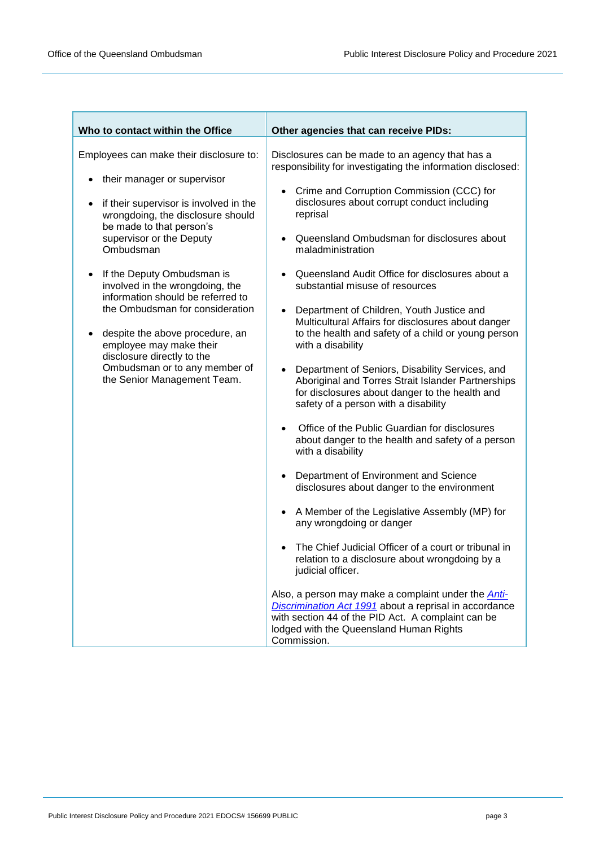| Who to contact within the Office                                                                                                                                                                                                                                                                                                                                                                                                                                                                                                          | Other agencies that can receive PIDs:                                                                                                                                                                                                                                                                                                                                                                                                                                                                                                                                                                                                                                                                                                                                                                                                                                                                                                                                                                                                                                                                                                                                                                                                                                                                                                                                                                                                                                                                                               |
|-------------------------------------------------------------------------------------------------------------------------------------------------------------------------------------------------------------------------------------------------------------------------------------------------------------------------------------------------------------------------------------------------------------------------------------------------------------------------------------------------------------------------------------------|-------------------------------------------------------------------------------------------------------------------------------------------------------------------------------------------------------------------------------------------------------------------------------------------------------------------------------------------------------------------------------------------------------------------------------------------------------------------------------------------------------------------------------------------------------------------------------------------------------------------------------------------------------------------------------------------------------------------------------------------------------------------------------------------------------------------------------------------------------------------------------------------------------------------------------------------------------------------------------------------------------------------------------------------------------------------------------------------------------------------------------------------------------------------------------------------------------------------------------------------------------------------------------------------------------------------------------------------------------------------------------------------------------------------------------------------------------------------------------------------------------------------------------------|
| Employees can make their disclosure to:<br>their manager or supervisor<br>if their supervisor is involved in the<br>٠<br>wrongdoing, the disclosure should<br>be made to that person's<br>supervisor or the Deputy<br>Ombudsman<br>If the Deputy Ombudsman is<br>٠<br>involved in the wrongdoing, the<br>information should be referred to<br>the Ombudsman for consideration<br>despite the above procedure, an<br>employee may make their<br>disclosure directly to the<br>Ombudsman or to any member of<br>the Senior Management Team. | Disclosures can be made to an agency that has a<br>responsibility for investigating the information disclosed:<br>Crime and Corruption Commission (CCC) for<br>disclosures about corrupt conduct including<br>reprisal<br>Queensland Ombudsman for disclosures about<br>$\bullet$<br>maladministration<br>Queensland Audit Office for disclosures about a<br>$\bullet$<br>substantial misuse of resources<br>Department of Children, Youth Justice and<br>$\bullet$<br>Multicultural Affairs for disclosures about danger<br>to the health and safety of a child or young person<br>with a disability<br>Department of Seniors, Disability Services, and<br>$\bullet$<br>Aboriginal and Torres Strait Islander Partnerships<br>for disclosures about danger to the health and<br>safety of a person with a disability<br>Office of the Public Guardian for disclosures<br>$\bullet$<br>about danger to the health and safety of a person<br>with a disability<br>Department of Environment and Science<br>$\bullet$<br>disclosures about danger to the environment<br>A Member of the Legislative Assembly (MP) for<br>$\bullet$<br>any wrongdoing or danger<br>The Chief Judicial Officer of a court or tribunal in<br>relation to a disclosure about wrongdoing by a<br>judicial officer.<br>Also, a person may make a complaint under the <b>Anti-</b><br>Discrimination Act 1991 about a reprisal in accordance<br>with section 44 of the PID Act. A complaint can be<br>lodged with the Queensland Human Rights<br>Commission. |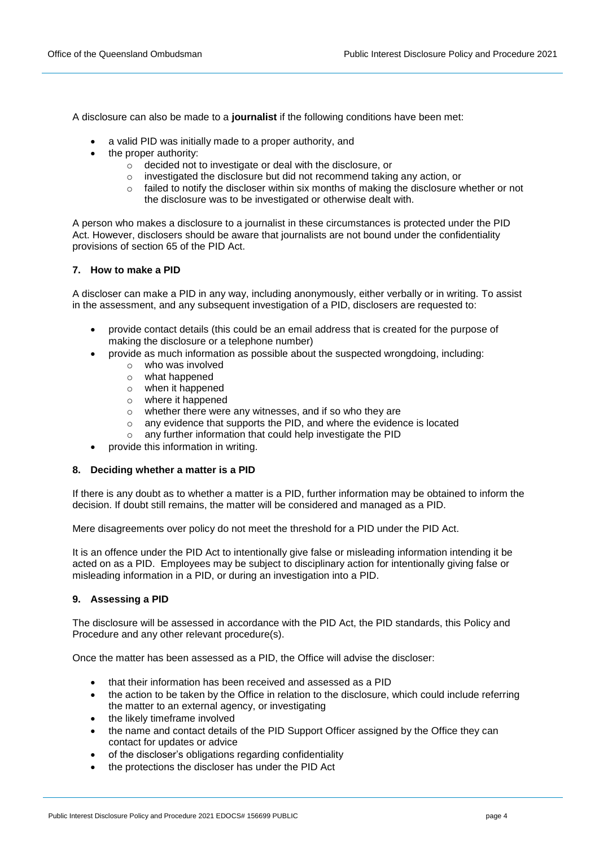A disclosure can also be made to a **journalist** if the following conditions have been met:

- a valid PID was initially made to a proper authority, and
- the proper authority:
	- o decided not to investigate or deal with the disclosure, or
	- investigated the disclosure but did not recommend taking any action, or
	- $\circ$  failed to notify the discloser within six months of making the disclosure whether or not the disclosure was to be investigated or otherwise dealt with.

A person who makes a disclosure to a journalist in these circumstances is protected under the PID Act. However, disclosers should be aware that journalists are not bound under the confidentiality provisions of section 65 of the PID Act.

#### **7. How to make a PID**

A discloser can make a PID in any way, including anonymously, either verbally or in writing. To assist in the assessment, and any subsequent investigation of a PID, disclosers are requested to:

- provide contact details (this could be an email address that is created for the purpose of making the disclosure or a telephone number)
- provide as much information as possible about the suspected wrongdoing, including:
	- o who was involved
	- o what happened
	- o when it happened
	- o where it happened
	- o whether there were any witnesses, and if so who they are
	- o any evidence that supports the PID, and where the evidence is located
	- o any further information that could help investigate the PID
- provide this information in writing.

#### **8. Deciding whether a matter is a PID**

If there is any doubt as to whether a matter is a PID, further information may be obtained to inform the decision. If doubt still remains, the matter will be considered and managed as a PID.

Mere disagreements over policy do not meet the threshold for a PID under the PID Act.

It is an offence under the PID Act to intentionally give false or misleading information intending it be acted on as a PID. Employees may be subject to disciplinary action for intentionally giving false or misleading information in a PID, or during an investigation into a PID.

#### **9. Assessing a PID**

The disclosure will be assessed in accordance with the PID Act, the PID standards, this Policy and Procedure and any other relevant procedure(s).

Once the matter has been assessed as a PID, the Office will advise the discloser:

- that their information has been received and assessed as a PID
- the action to be taken by the Office in relation to the disclosure, which could include referring the matter to an external agency, or investigating
- the likely timeframe involved
- the name and contact details of the PID Support Officer assigned by the Office they can contact for updates or advice
- of the discloser's obligations regarding confidentiality
- the protections the discloser has under the PID Act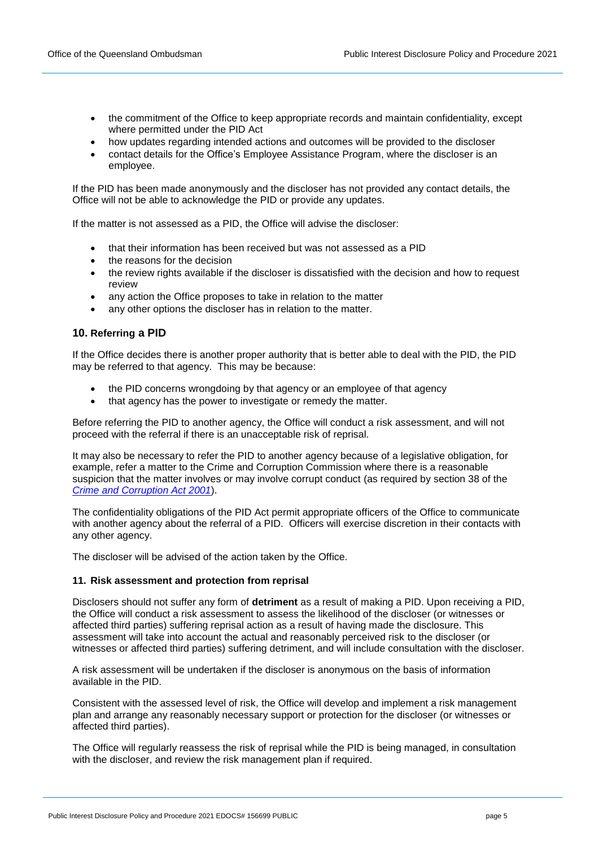- the commitment of the Office to keep appropriate records and maintain confidentiality, except where permitted under the PID Act
- how updates regarding intended actions and outcomes will be provided to the discloser
- contact details for the Office's Employee Assistance Program, where the discloser is an employee.

If the PID has been made anonymously and the discloser has not provided any contact details, the Office will not be able to acknowledge the PID or provide any updates.

If the matter is not assessed as a PID, the Office will advise the discloser:

- that their information has been received but was not assessed as a PID
- the reasons for the decision
- the review rights available if the discloser is dissatisfied with the decision and how to request review
- any action the Office proposes to take in relation to the matter
- any other options the discloser has in relation to the matter.

#### **10. Referring a PID**

If the Office decides there is another proper authority that is better able to deal with the PID, the PID may be referred to that agency. This may be because:

- the PID concerns wrongdoing by that agency or an employee of that agency
- that agency has the power to investigate or remedy the matter.

Before referring the PID to another agency, the Office will conduct a risk assessment, and will not proceed with the referral if there is an unacceptable risk of reprisal.

It may also be necessary to refer the PID to another agency because of a legislative obligation, for example, refer a matter to the Crime and Corruption Commission where there is a reasonable suspicion that the matter involves or may involve corrupt conduct (as required by section 38 of the *[Crime and Corruption Act 2001](https://www.legislation.qld.gov.au/view/html/inforce/current/act-2001-069)*).

The confidentiality obligations of the PID Act permit appropriate officers of the Office to communicate with another agency about the referral of a PID. Officers will exercise discretion in their contacts with any other agency.

The discloser will be advised of the action taken by the Office.

#### **11. Risk assessment and protection from reprisal**

Disclosers should not suffer any form of **detriment** as a result of making a PID. Upon receiving a PID, the Office will conduct a risk assessment to assess the likelihood of the discloser (or witnesses or affected third parties) suffering reprisal action as a result of having made the disclosure. This assessment will take into account the actual and reasonably perceived risk to the discloser (or witnesses or affected third parties) suffering detriment, and will include consultation with the discloser.

A risk assessment will be undertaken if the discloser is anonymous on the basis of information available in the PID.

Consistent with the assessed level of risk, the Office will develop and implement a risk management plan and arrange any reasonably necessary support or protection for the discloser (or witnesses or affected third parties).

The Office will regularly reassess the risk of reprisal while the PID is being managed, in consultation with the discloser, and review the risk management plan if required.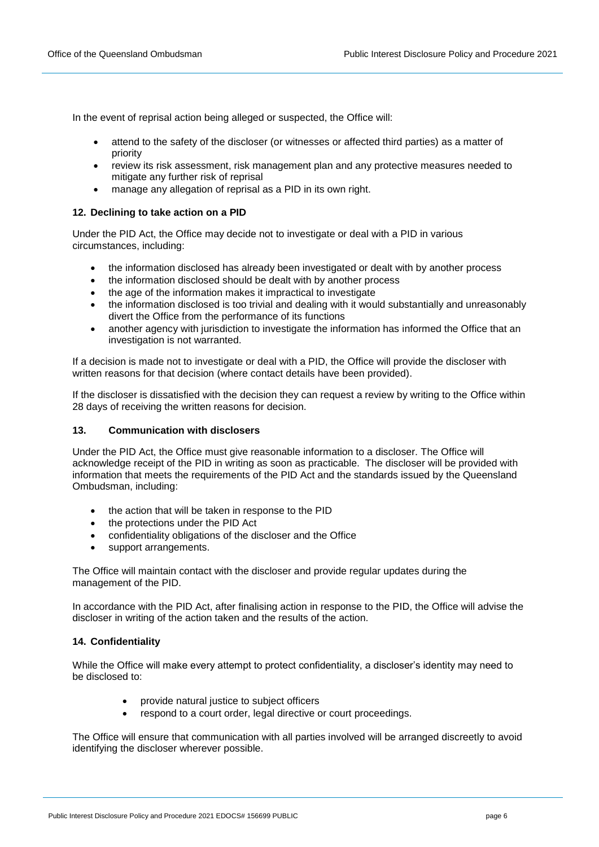In the event of reprisal action being alleged or suspected, the Office will:

- attend to the safety of the discloser (or witnesses or affected third parties) as a matter of priority
- review its risk assessment, risk management plan and any protective measures needed to mitigate any further risk of reprisal
- manage any allegation of reprisal as a PID in its own right.

## **12. Declining to take action on a PID**

Under the PID Act, the Office may decide not to investigate or deal with a PID in various circumstances, including:

- the information disclosed has already been investigated or dealt with by another process
- the information disclosed should be dealt with by another process
- the age of the information makes it impractical to investigate
- the information disclosed is too trivial and dealing with it would substantially and unreasonably divert the Office from the performance of its functions
- another agency with jurisdiction to investigate the information has informed the Office that an investigation is not warranted.

If a decision is made not to investigate or deal with a PID, the Office will provide the discloser with written reasons for that decision (where contact details have been provided).

If the discloser is dissatisfied with the decision they can request a review by writing to the Office within 28 days of receiving the written reasons for decision.

#### **13. Communication with disclosers**

Under the PID Act, the Office must give reasonable information to a discloser. The Office will acknowledge receipt of the PID in writing as soon as practicable. The discloser will be provided with information that meets the requirements of the PID Act and the standards issued by the Queensland Ombudsman, including:

- the action that will be taken in response to the PID
- the protections under the PID Act
- confidentiality obligations of the discloser and the Office
- support arrangements.

The Office will maintain contact with the discloser and provide regular updates during the management of the PID.

In accordance with the PID Act, after finalising action in response to the PID, the Office will advise the discloser in writing of the action taken and the results of the action.

#### **14. Confidentiality**

While the Office will make every attempt to protect confidentiality, a discloser's identity may need to be disclosed to:

- provide natural justice to subject officers
- respond to a court order, legal directive or court proceedings.

The Office will ensure that communication with all parties involved will be arranged discreetly to avoid identifying the discloser wherever possible.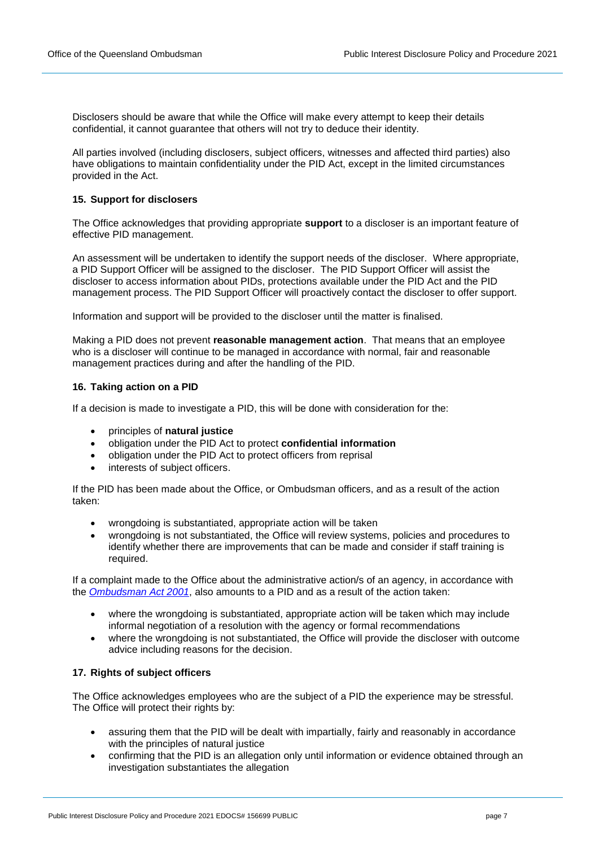Disclosers should be aware that while the Office will make every attempt to keep their details confidential, it cannot guarantee that others will not try to deduce their identity.

All parties involved (including disclosers, subject officers, witnesses and affected third parties) also have obligations to maintain confidentiality under the PID Act, except in the limited circumstances provided in the Act.

## **15. Support for disclosers**

The Office acknowledges that providing appropriate **support** to a discloser is an important feature of effective PID management.

An assessment will be undertaken to identify the support needs of the discloser. Where appropriate, a PID Support Officer will be assigned to the discloser. The PID Support Officer will assist the discloser to access information about PIDs, protections available under the PID Act and the PID management process. The PID Support Officer will proactively contact the discloser to offer support.

Information and support will be provided to the discloser until the matter is finalised.

Making a PID does not prevent **reasonable management action**. That means that an employee who is a discloser will continue to be managed in accordance with normal, fair and reasonable management practices during and after the handling of the PID.

## **16. Taking action on a PID**

If a decision is made to investigate a PID, this will be done with consideration for the:

- principles of **natural justice**
- obligation under the PID Act to protect **confidential information**
- obligation under the PID Act to protect officers from reprisal
- interests of subject officers.

If the PID has been made about the Office, or Ombudsman officers, and as a result of the action taken:

- wrongdoing is substantiated, appropriate action will be taken
- wrongdoing is not substantiated, the Office will review systems, policies and procedures to identify whether there are improvements that can be made and consider if staff training is required.

If a complaint made to the Office about the administrative action/s of an agency, in accordance with the *[Ombudsman Act 2001](https://www.legislation.qld.gov.au/view/html/inforce/current/act-2001-073)*, also amounts to a PID and as a result of the action taken:

- where the wrongdoing is substantiated, appropriate action will be taken which may include informal negotiation of a resolution with the agency or formal recommendations
- where the wrongdoing is not substantiated, the Office will provide the discloser with outcome advice including reasons for the decision.

## **17. Rights of subject officers**

The Office acknowledges employees who are the subject of a PID the experience may be stressful. The Office will protect their rights by:

- assuring them that the PID will be dealt with impartially, fairly and reasonably in accordance with the principles of natural justice
- confirming that the PID is an allegation only until information or evidence obtained through an investigation substantiates the allegation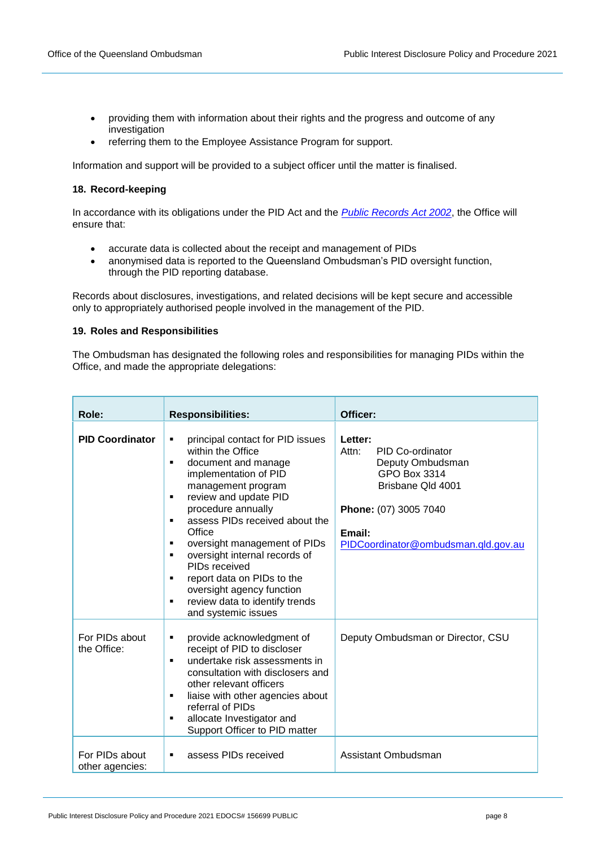- providing them with information about their rights and the progress and outcome of any investigation
- referring them to the Employee Assistance Program for support.

Information and support will be provided to a subject officer until the matter is finalised.

## **18. Record-keeping**

In accordance with its obligations under the PID Act and the *[Public Records Act 2002](https://www.legislation.qld.gov.au/view/html/inforce/current/act-2002-011)*, the Office will ensure that:

- accurate data is collected about the receipt and management of PIDs
- anonymised data is reported to the Queensland Ombudsman's PID oversight function, through the PID reporting database.

Records about disclosures, investigations, and related decisions will be kept secure and accessible only to appropriately authorised people involved in the management of the PID.

## **19. Roles and Responsibilities**

The Ombudsman has designated the following roles and responsibilities for managing PIDs within the Office, and made the appropriate delegations:

| Role:                             | <b>Responsibilities:</b>                                                                                                                                                                                                                                                                                                                                                                                                                                             | Officer:                                                                                                                                                                |
|-----------------------------------|----------------------------------------------------------------------------------------------------------------------------------------------------------------------------------------------------------------------------------------------------------------------------------------------------------------------------------------------------------------------------------------------------------------------------------------------------------------------|-------------------------------------------------------------------------------------------------------------------------------------------------------------------------|
| <b>PID Coordinator</b>            | principal contact for PID issues<br>٠<br>within the Office<br>document and manage<br>٠<br>implementation of PID<br>management program<br>review and update PID<br>٠<br>procedure annually<br>assess PIDs received about the<br>٠<br>Office<br>oversight management of PIDs<br>٠<br>oversight internal records of<br>٠<br>PIDs received<br>report data on PIDs to the<br>٠<br>oversight agency function<br>review data to identify trends<br>٠<br>and systemic issues | Letter:<br>Attn:<br>PID Co-ordinator<br>Deputy Ombudsman<br>GPO Box 3314<br>Brisbane Qld 4001<br>Phone: (07) 3005 7040<br>Email:<br>PIDCoordinator@ombudsman.qld.gov.au |
| For PIDs about<br>the Office:     | provide acknowledgment of<br>٠<br>receipt of PID to discloser<br>undertake risk assessments in<br>consultation with disclosers and<br>other relevant officers<br>liaise with other agencies about<br>٠<br>referral of PIDs<br>allocate Investigator and<br>٠<br>Support Officer to PID matter                                                                                                                                                                        | Deputy Ombudsman or Director, CSU                                                                                                                                       |
| For PIDs about<br>other agencies: | assess PIDs received<br>٠                                                                                                                                                                                                                                                                                                                                                                                                                                            | Assistant Ombudsman                                                                                                                                                     |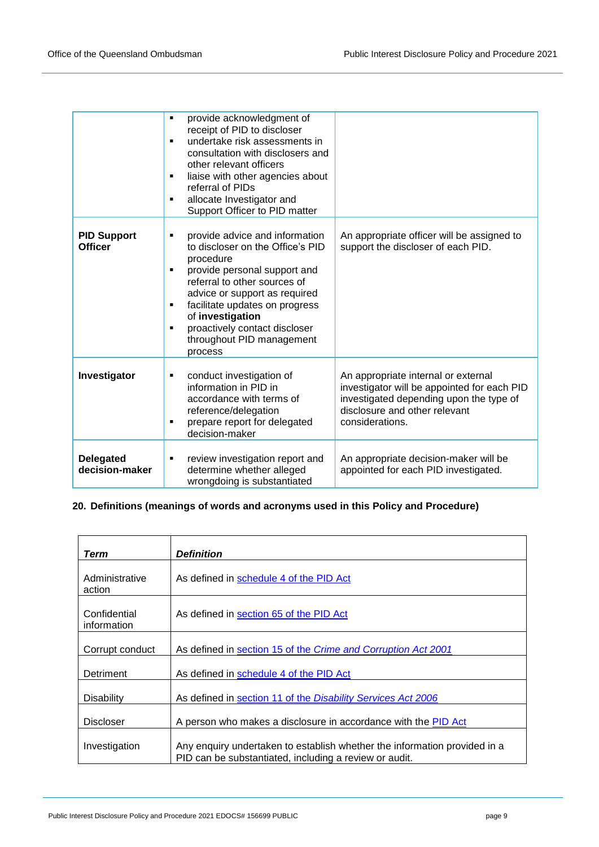|                                      | provide acknowledgment of<br>$\blacksquare$<br>receipt of PID to discloser<br>undertake risk assessments in<br>consultation with disclosers and<br>other relevant officers<br>liaise with other agencies about<br>٠<br>referral of PIDs<br>allocate Investigator and<br>٠<br>Support Officer to PID matter                          |                                                                                                                                                                                   |
|--------------------------------------|-------------------------------------------------------------------------------------------------------------------------------------------------------------------------------------------------------------------------------------------------------------------------------------------------------------------------------------|-----------------------------------------------------------------------------------------------------------------------------------------------------------------------------------|
| <b>PID Support</b><br><b>Officer</b> | provide advice and information<br>٠<br>to discloser on the Office's PID<br>procedure<br>provide personal support and<br>٠<br>referral to other sources of<br>advice or support as required<br>facilitate updates on progress<br>٠<br>of investigation<br>proactively contact discloser<br>٠<br>throughout PID management<br>process | An appropriate officer will be assigned to<br>support the discloser of each PID.                                                                                                  |
| Investigator                         | conduct investigation of<br>٠<br>information in PID in<br>accordance with terms of<br>reference/delegation<br>prepare report for delegated<br>٠<br>decision-maker                                                                                                                                                                   | An appropriate internal or external<br>investigator will be appointed for each PID<br>investigated depending upon the type of<br>disclosure and other relevant<br>considerations. |
| <b>Delegated</b><br>decision-maker   | review investigation report and<br>٠<br>determine whether alleged<br>wrongdoing is substantiated                                                                                                                                                                                                                                    | An appropriate decision-maker will be<br>appointed for each PID investigated.                                                                                                     |

## **20. Definitions (meanings of words and acronyms used in this Policy and Procedure)**

| Term                        | <b>Definition</b>                                                                                                                   |
|-----------------------------|-------------------------------------------------------------------------------------------------------------------------------------|
| Administrative<br>action    | As defined in schedule 4 of the PID Act                                                                                             |
| Confidential<br>information | As defined in section 65 of the PID Act                                                                                             |
| Corrupt conduct             | As defined in section 15 of the Crime and Corruption Act 2001                                                                       |
| Detriment                   | As defined in schedule 4 of the PID Act                                                                                             |
| <b>Disability</b>           | As defined in section 11 of the Disability Services Act 2006                                                                        |
| <b>Discloser</b>            | A person who makes a disclosure in accordance with the PID Act                                                                      |
| Investigation               | Any enguiry undertaken to establish whether the information provided in a<br>PID can be substantiated, including a review or audit. |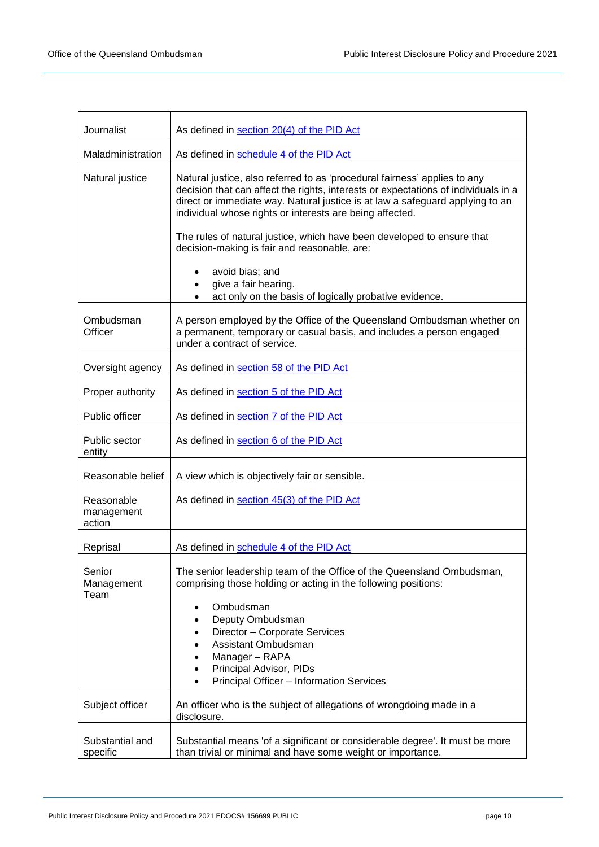| Journalist                         | As defined in section 20(4) of the PID Act                                                                                                                                                                                                                                                                   |
|------------------------------------|--------------------------------------------------------------------------------------------------------------------------------------------------------------------------------------------------------------------------------------------------------------------------------------------------------------|
| Maladministration                  | As defined in schedule 4 of the PID Act                                                                                                                                                                                                                                                                      |
| Natural justice                    | Natural justice, also referred to as 'procedural fairness' applies to any<br>decision that can affect the rights, interests or expectations of individuals in a<br>direct or immediate way. Natural justice is at law a safeguard applying to an<br>individual whose rights or interests are being affected. |
|                                    | The rules of natural justice, which have been developed to ensure that<br>decision-making is fair and reasonable, are:                                                                                                                                                                                       |
|                                    | avoid bias; and<br>give a fair hearing.<br>act only on the basis of logically probative evidence.                                                                                                                                                                                                            |
| Ombudsman<br>Officer               | A person employed by the Office of the Queensland Ombudsman whether on<br>a permanent, temporary or casual basis, and includes a person engaged<br>under a contract of service.                                                                                                                              |
| Oversight agency                   | As defined in section 58 of the PID Act                                                                                                                                                                                                                                                                      |
| Proper authority                   | As defined in section 5 of the PID Act                                                                                                                                                                                                                                                                       |
| Public officer                     | As defined in section 7 of the PID Act                                                                                                                                                                                                                                                                       |
| Public sector<br>entity            | As defined in section 6 of the PID Act                                                                                                                                                                                                                                                                       |
| Reasonable belief                  | A view which is objectively fair or sensible.                                                                                                                                                                                                                                                                |
| Reasonable<br>management<br>action | As defined in section 45(3) of the PID Act                                                                                                                                                                                                                                                                   |
| Reprisal                           | As defined in schedule 4 of the PID Act                                                                                                                                                                                                                                                                      |
| Senior<br>Management<br>Team       | The senior leadership team of the Office of the Queensland Ombudsman,<br>comprising those holding or acting in the following positions:<br>Ombudsman<br>Deputy Ombudsman                                                                                                                                     |
|                                    | Director - Corporate Services<br>Assistant Ombudsman                                                                                                                                                                                                                                                         |
|                                    | Manager - RAPA<br>Principal Advisor, PIDs<br>Principal Officer - Information Services                                                                                                                                                                                                                        |
| Subject officer                    | An officer who is the subject of allegations of wrongdoing made in a<br>disclosure.                                                                                                                                                                                                                          |
| Substantial and<br>specific        | Substantial means 'of a significant or considerable degree'. It must be more<br>than trivial or minimal and have some weight or importance.                                                                                                                                                                  |